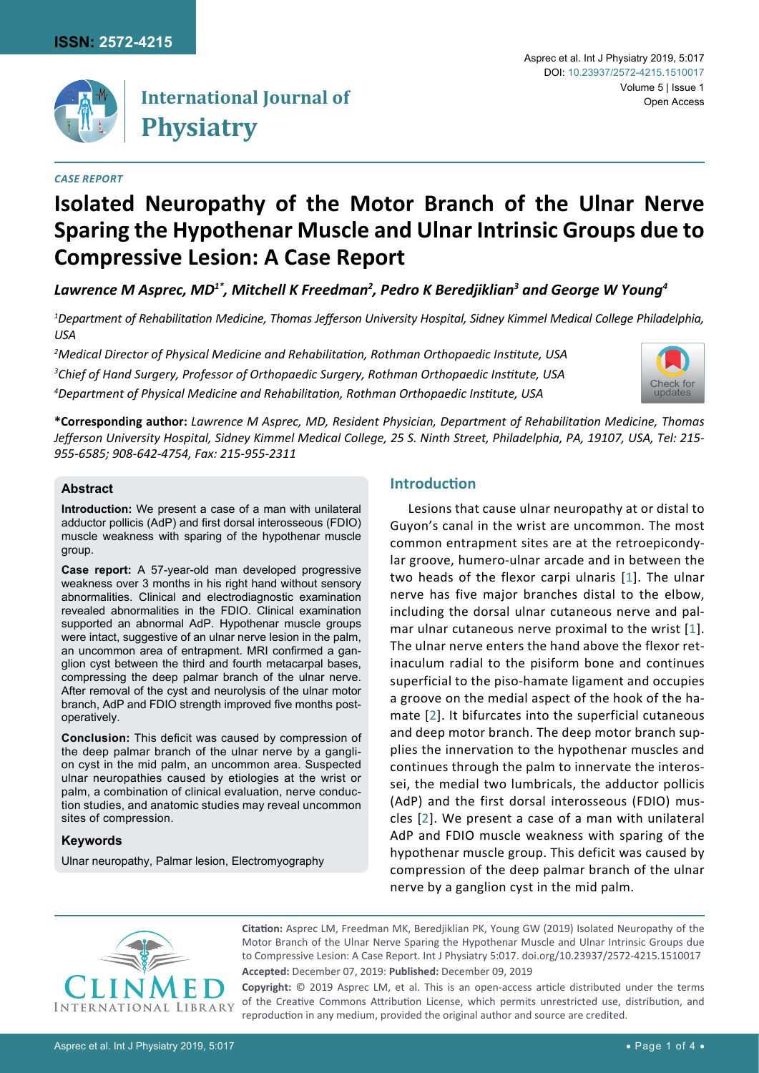

## **International Journal of Physiatry**

#### *Case report*

# **Isolated Neuropathy of the Motor Branch of the Ulnar Nerve Sparing the Hypothenar Muscle and Ulnar Intrinsic Groups due to Compressive Lesion: A Case Report**

Lawrence M Asprec, MD<sup>1\*</sup>, Mitchell K Freedman<sup>2</sup>, Pedro K Beredjiklian<sup>3</sup> and George W Young<sup>4</sup>

*1 Department of Rehabilitation Medicine, Thomas Jefferson University Hospital, Sidney Kimmel Medical College Philadelphia, USA*

*2 Medical Director of Physical Medicine and Rehabilitation, Rothman Orthopaedic Institute, USA 3 Chief of Hand Surgery, Professor of Orthopaedic Surgery, Rothman Orthopaedic Institute, USA 4 Department of Physical Medicine and Rehabilitation, Rothman Orthopaedic Institute, USA*



**\*Corresponding author:** *Lawrence M Asprec, MD, Resident Physician, Department of Rehabilitation Medicine, Thomas Jefferson University Hospital, Sidney Kimmel Medical College, 25 S. Ninth Street, Philadelphia, PA, 19107, USA, Tel: 215- 955-6585; 908-642-4754, Fax: 215-955-2311*

#### **Abstract**

**Introduction:** We present a case of a man with unilateral adductor pollicis (AdP) and first dorsal interosseous (FDIO) muscle weakness with sparing of the hypothenar muscle group.

**Case report:** A 57-year-old man developed progressive weakness over 3 months in his right hand without sensory abnormalities. Clinical and electrodiagnostic examination revealed abnormalities in the FDIO. Clinical examination supported an abnormal AdP. Hypothenar muscle groups were intact, suggestive of an ulnar nerve lesion in the palm, an uncommon area of entrapment. MRI confirmed a ganglion cyst between the third and fourth metacarpal bases, compressing the deep palmar branch of the ulnar nerve. After removal of the cyst and neurolysis of the ulnar motor branch, AdP and FDIO strength improved five months postoperatively.

**Conclusion:** This deficit was caused by compression of the deep palmar branch of the ulnar nerve by a ganglion cyst in the mid palm, an uncommon area. Suspected ulnar neuropathies caused by etiologies at the wrist or palm, a combination of clinical evaluation, nerve conduction studies, and anatomic studies may reveal uncommon sites of compression.

## **Keywords**

Ulnar neuropathy, Palmar lesion, Electromyography

## **Introduction**

Lesions that cause ulnar neuropathy at or distal to Guyon's canal in the wrist are uncommon. The most common entrapment sites are at the retroepicondylar groove, humero-ulnar arcade and in between the two heads of the flexor carpi ulnaris [[1\]](#page-2-0). The ulnar nerve has five major branches distal to the elbow, including the dorsal ulnar cutaneous nerve and palmar ulnar cutaneous nerve proximal to the wrist [[1](#page-2-0)]. The ulnar nerve enters the hand above the flexor retinaculum radial to the pisiform bone and continues superficial to the piso-hamate ligament and occupies a groove on the medial aspect of the hook of the hamate [[2\]](#page-2-1). It bifurcates into the superficial cutaneous and deep motor branch. The deep motor branch supplies the innervation to the hypothenar muscles and continues through the palm to innervate the interossei, the medial two lumbricals, the adductor pollicis (AdP) and the first dorsal interosseous (FDIO) muscles [[2](#page-2-1)]. We present a case of a man with unilateral AdP and FDIO muscle weakness with sparing of the hypothenar muscle group. This deficit was caused by compression of the deep palmar branch of the ulnar nerve by a ganglion cyst in the mid palm.



**Citation:** Asprec LM, Freedman MK, Beredjiklian PK, Young GW (2019) Isolated Neuropathy of the Motor Branch of the Ulnar Nerve Sparing the Hypothenar Muscle and Ulnar Intrinsic Groups due to Compressive Lesion: A Case Report. Int J Physiatry 5:017. [doi.org/10.23937/2572-4215.1510017](https://doi.org/10.23937/2572-4215.1510017) **Accepted:** December 07, 2019: **Published:** December 09, 2019

**Copyright:** © 2019 Asprec LM, et al. This is an open-access article distributed under the terms of the Creative Commons Attribution License, which permits unrestricted use, distribution, and reproduction in any medium, provided the original author and source are credited.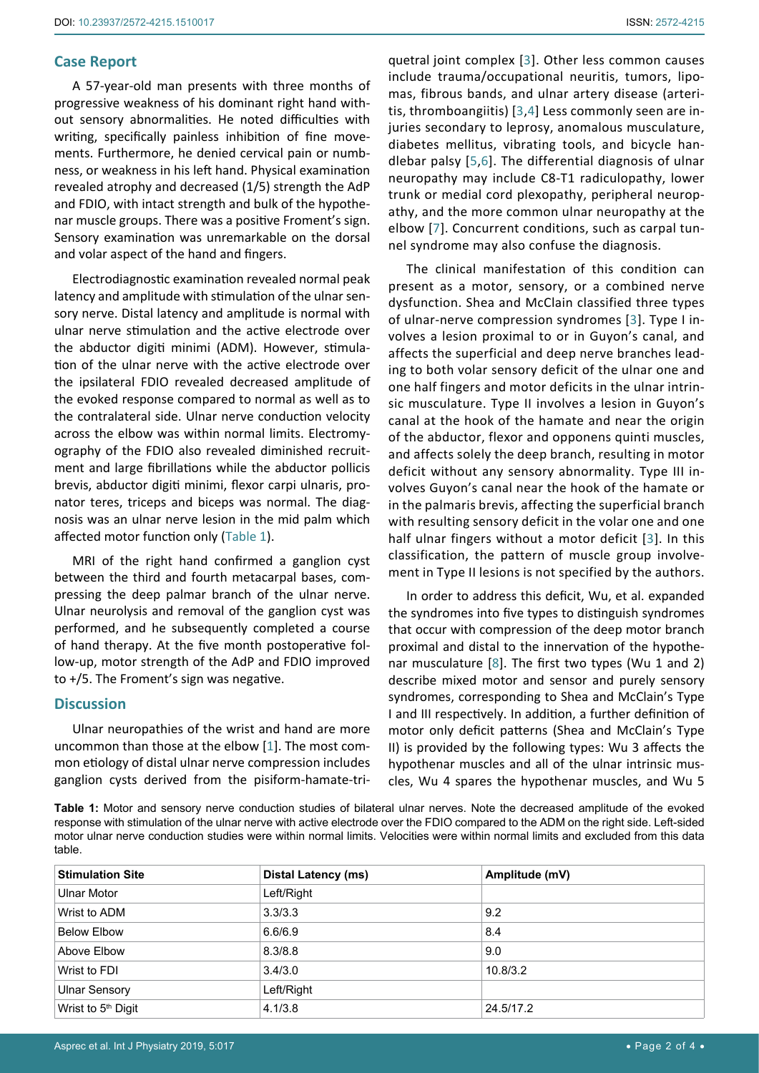## **Case Report**

A 57-year-old man presents with three months of progressive weakness of his dominant right hand without sensory abnormalities. He noted difficulties with writing, specifically painless inhibition of fine movements. Furthermore, he denied cervical pain or numbness, or weakness in his left hand. Physical examination revealed atrophy and decreased (1/5) strength the AdP and FDIO, with intact strength and bulk of the hypothenar muscle groups. There was a positive Froment's sign. Sensory examination was unremarkable on the dorsal and volar aspect of the hand and fingers.

Electrodiagnostic examination revealed normal peak latency and amplitude with stimulation of the ulnar sensory nerve. Distal latency and amplitude is normal with ulnar nerve stimulation and the active electrode over the abductor digiti minimi (ADM). However, stimulation of the ulnar nerve with the active electrode over the ipsilateral FDIO revealed decreased amplitude of the evoked response compared to normal as well as to the contralateral side. Ulnar nerve conduction velocity across the elbow was within normal limits. Electromyography of the FDIO also revealed diminished recruitment and large fibrillations while the abductor pollicis brevis, abductor digiti minimi, flexor carpi ulnaris, pronator teres, triceps and biceps was normal. The diagnosis was an ulnar nerve lesion in the mid palm which affected motor function only ([Table 1](#page-1-0)).

MRI of the right hand confirmed a ganglion cyst between the third and fourth metacarpal bases, compressing the deep palmar branch of the ulnar nerve. Ulnar neurolysis and removal of the ganglion cyst was performed, and he subsequently completed a course of hand therapy. At the five month postoperative follow-up, motor strength of the AdP and FDIO improved to +/5. The Froment's sign was negative.

#### **Discussion**

Ulnar neuropathies of the wrist and hand are more uncommon than those at the elbow [[1\]](#page-2-0). The most common etiology of distal ulnar nerve compression includes ganglion cysts derived from the pisiform-hamate-triquetral joint complex [[3\]](#page-2-2). Other less common causes include trauma/occupational neuritis, tumors, lipomas, fibrous bands, and ulnar artery disease (arteritis, thromboangiitis) [[3](#page-2-2),[4\]](#page-2-3) Less commonly seen are injuries secondary to leprosy, anomalous musculature, diabetes mellitus, vibrating tools, and bicycle handlebar palsy [[5,](#page-2-4)[6](#page-2-5)]. The differential diagnosis of ulnar neuropathy may include C8-T1 radiculopathy, lower trunk or medial cord plexopathy, peripheral neuropathy, and the more common ulnar neuropathy at the elbow [[7](#page-2-6)]. Concurrent conditions, such as carpal tunnel syndrome may also confuse the diagnosis.

The clinical manifestation of this condition can present as a motor, sensory, or a combined nerve dysfunction. Shea and McClain classified three types of ulnar-nerve compression syndromes [[3](#page-2-2)]. Type I involves a lesion proximal to or in Guyon's canal, and affects the superficial and deep nerve branches leading to both volar sensory deficit of the ulnar one and one half fingers and motor deficits in the ulnar intrinsic musculature. Type II involves a lesion in Guyon's canal at the hook of the hamate and near the origin of the abductor, flexor and opponens quinti muscles, and affects solely the deep branch, resulting in motor deficit without any sensory abnormality. Type III involves Guyon's canal near the hook of the hamate or in the palmaris brevis, affecting the superficial branch with resulting sensory deficit in the volar one and one half ulnar fingers without a motor deficit [[3](#page-2-2)]. In this classification, the pattern of muscle group involvement in Type II lesions is not specified by the authors.

In order to address this deficit, Wu, et al. expanded the syndromes into five types to distinguish syndromes that occur with compression of the deep motor branch proximal and distal to the innervation of the hypothenar musculature [[8](#page-2-7)]. The first two types (Wu 1 and 2) describe mixed motor and sensor and purely sensory syndromes, corresponding to Shea and McClain's Type I and III respectively. In addition, a further definition of motor only deficit patterns (Shea and McClain's Type II) is provided by the following types: Wu 3 affects the hypothenar muscles and all of the ulnar intrinsic muscles, Wu 4 spares the hypothenar muscles, and Wu 5

<span id="page-1-0"></span>**Table 1:** Motor and sensory nerve conduction studies of bilateral ulnar nerves. Note the decreased amplitude of the evoked response with stimulation of the ulnar nerve with active electrode over the FDIO compared to the ADM on the right side. Left-sided motor ulnar nerve conduction studies were within normal limits. Velocities were within normal limits and excluded from this data table.

| <b>Stimulation Site</b>        | <b>Distal Latency (ms)</b> | Amplitude (mV) |  |
|--------------------------------|----------------------------|----------------|--|
| <b>Ulnar Motor</b>             | Left/Right                 |                |  |
| Wrist to ADM                   | 3.3/3.3                    | 9.2            |  |
| <b>Below Elbow</b>             | 6.6/6.9                    | 8.4            |  |
| Above Elbow                    | 8.3/8.8                    | 9.0            |  |
| Wrist to FDI                   | 3.4/3.0                    | 10.8/3.2       |  |
| <b>Ulnar Sensory</b>           | Left/Right                 |                |  |
| Wrist to 5 <sup>th</sup> Digit | 4.1/3.8                    | 24.5/17.2      |  |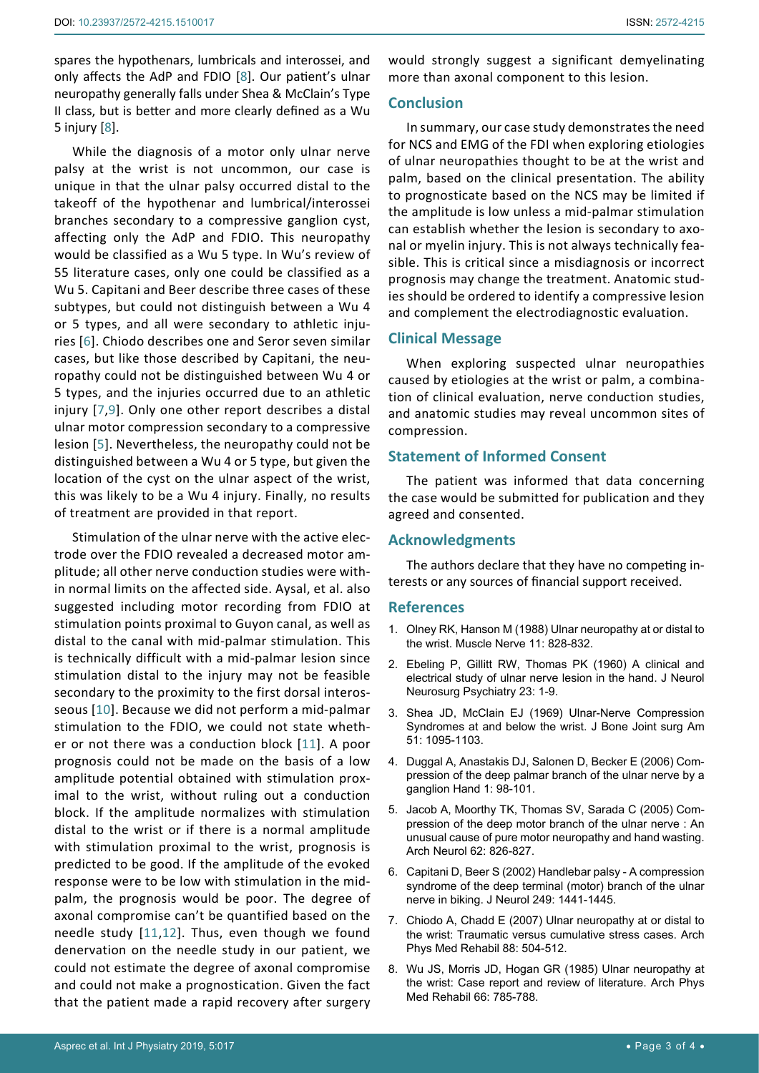spares the hypothenars, lumbricals and interossei, and only affects the AdP and FDIO [[8](#page-2-7)]. Our patient's ulnar neuropathy generally falls under Shea & McClain's Type II class, but is better and more clearly defined as a Wu 5 injury [[8\]](#page-2-7).

While the diagnosis of a motor only ulnar nerve palsy at the wrist is not uncommon, our case is unique in that the ulnar palsy occurred distal to the takeoff of the hypothenar and lumbrical/interossei branches secondary to a compressive ganglion cyst, affecting only the AdP and FDIO. This neuropathy would be classified as a Wu 5 type. In Wu's review of 55 literature cases, only one could be classified as a Wu 5. Capitani and Beer describe three cases of these subtypes, but could not distinguish between a Wu 4 or 5 types, and all were secondary to athletic injuries [[6](#page-2-5)]. Chiodo describes one and Seror seven similar cases, but like those described by Capitani, the neuropathy could not be distinguished between Wu 4 or 5 types, and the injuries occurred due to an athletic injury [[7](#page-2-6),[9\]](#page-3-0). Only one other report describes a distal ulnar motor compression secondary to a compressive lesion [[5](#page-2-4)]. Nevertheless, the neuropathy could not be distinguished between a Wu 4 or 5 type, but given the location of the cyst on the ulnar aspect of the wrist, this was likely to be a Wu 4 injury. Finally, no results of treatment are provided in that report.

Stimulation of the ulnar nerve with the active electrode over the FDIO revealed a decreased motor amplitude; all other nerve conduction studies were within normal limits on the affected side. Aysal, et al. also suggested including motor recording from FDIO at stimulation points proximal to Guyon canal, as well as distal to the canal with mid-palmar stimulation. This is technically difficult with a mid-palmar lesion since stimulation distal to the injury may not be feasible secondary to the proximity to the first dorsal interosseous [[10](#page-3-1)]. Because we did not perform a mid-palmar stimulation to the FDIO, we could not state whether or not there was a conduction block [[11](#page-3-2)]. A poor prognosis could not be made on the basis of a low amplitude potential obtained with stimulation proximal to the wrist, without ruling out a conduction block. If the amplitude normalizes with stimulation distal to the wrist or if there is a normal amplitude with stimulation proximal to the wrist, prognosis is predicted to be good. If the amplitude of the evoked response were to be low with stimulation in the midpalm, the prognosis would be poor. The degree of axonal compromise can't be quantified based on the needle study [[11](#page-3-2)[,12](#page-3-3)]. Thus, even though we found denervation on the needle study in our patient, we could not estimate the degree of axonal compromise and could not make a prognostication. Given the fact that the patient made a rapid recovery after surgery

would strongly suggest a significant demyelinating more than axonal component to this lesion.

## **Conclusion**

In summary, our case study demonstrates the need for NCS and EMG of the FDI when exploring etiologies of ulnar neuropathies thought to be at the wrist and palm, based on the clinical presentation. The ability to prognosticate based on the NCS may be limited if the amplitude is low unless a mid-palmar stimulation can establish whether the lesion is secondary to axonal or myelin injury. This is not always technically feasible. This is critical since a misdiagnosis or incorrect prognosis may change the treatment. Anatomic studies should be ordered to identify a compressive lesion and complement the electrodiagnostic evaluation.

## **Clinical Message**

When exploring suspected ulnar neuropathies caused by etiologies at the wrist or palm, a combination of clinical evaluation, nerve conduction studies, and anatomic studies may reveal uncommon sites of compression.

## **Statement of Informed Consent**

The patient was informed that data concerning the case would be submitted for publication and they agreed and consented.

## **Acknowledgments**

The authors declare that they have no competing interests or any sources of financial support received.

#### **References**

- <span id="page-2-0"></span>1. [Olney RK, Hanson M \(1988\) Ulnar neuropathy at or distal to](https://www.ncbi.nlm.nih.gov/pubmed/3173408)  [the wrist. Muscle Nerve 11: 828-832.](https://www.ncbi.nlm.nih.gov/pubmed/3173408)
- <span id="page-2-1"></span>2. [Ebeling P, Gillitt RW, Thomas PK \(1960\) A clinical and](https://www.ncbi.nlm.nih.gov/pubmed/13819155)  [electrical study of ulnar nerve lesion in the hand. J Neurol](https://www.ncbi.nlm.nih.gov/pubmed/13819155)  [Neurosurg Psychiatry 23: 1-9.](https://www.ncbi.nlm.nih.gov/pubmed/13819155)
- <span id="page-2-2"></span>3. [Shea JD, McClain EJ \(1969\) Ulnar-Nerve Compression](https://www.ncbi.nlm.nih.gov/pubmed/5805411)  [Syndromes at and below the wrist. J Bone Joint surg Am](https://www.ncbi.nlm.nih.gov/pubmed/5805411)  [51: 1095-1103.](https://www.ncbi.nlm.nih.gov/pubmed/5805411)
- <span id="page-2-3"></span>4. [Duggal A, Anastakis DJ, Salonen D, Becker E \(2006\) Com](https://www.ncbi.nlm.nih.gov/pmc/articles/PMC2526024/)[pression of the deep palmar branch of the ulnar nerve by a](https://www.ncbi.nlm.nih.gov/pmc/articles/PMC2526024/)  [ganglion Hand 1: 98-101.](https://www.ncbi.nlm.nih.gov/pmc/articles/PMC2526024/)
- <span id="page-2-4"></span>5. [Jacob A, Moorthy TK, Thomas SV, Sarada C \(2005\) Com](https://www.ncbi.nlm.nih.gov/pubmed/15883273)[pression of the deep motor branch of the ulnar nerve : An](https://www.ncbi.nlm.nih.gov/pubmed/15883273)  [unusual cause of pure motor neuropathy and hand wasting.](https://www.ncbi.nlm.nih.gov/pubmed/15883273)  [Arch Neurol 62: 826-827.](https://www.ncbi.nlm.nih.gov/pubmed/15883273)
- <span id="page-2-5"></span>6. [Capitani D, Beer S \(2002\) Handlebar palsy - A compression](https://www.ncbi.nlm.nih.gov/pubmed/12382163)  [syndrome of the deep terminal \(motor\) branch of the ulnar](https://www.ncbi.nlm.nih.gov/pubmed/12382163)  [nerve in biking. J Neurol 249: 1441-1445.](https://www.ncbi.nlm.nih.gov/pubmed/12382163)
- <span id="page-2-6"></span>7. [Chiodo A, Chadd E \(2007\) Ulnar neuropathy at or distal to](https://www.ncbi.nlm.nih.gov/pubmed/17398253)  [the wrist: Traumatic versus cumulative stress cases. Arch](https://www.ncbi.nlm.nih.gov/pubmed/17398253)  [Phys Med Rehabil 88: 504-512.](https://www.ncbi.nlm.nih.gov/pubmed/17398253)
- <span id="page-2-7"></span>8. [Wu JS, Morris JD, Hogan GR \(1985\) Ulnar neuropathy at](https://www.ncbi.nlm.nih.gov/pubmed/4062532)  [the wrist: Case report and review of literature. Arch Phys](https://www.ncbi.nlm.nih.gov/pubmed/4062532)  [Med Rehabil 66: 785-788.](https://www.ncbi.nlm.nih.gov/pubmed/4062532)